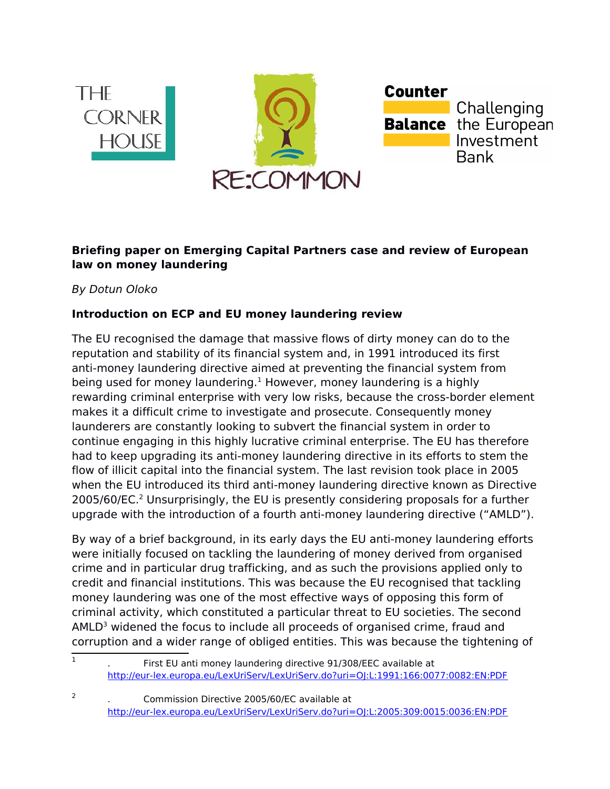

## **Briefing paper on Emerging Capital Partners case and review of European law on money laundering**

By Dotun Oloko

## **Introduction on ECP and EU money laundering review**

The EU recognised the damage that massive flows of dirty money can do to the reputation and stability of its financial system and, in 1991 introduced its first anti-money laundering directive aimed at preventing the financial system from being used for money laundering. $1$  However, money laundering is a highly rewarding criminal enterprise with very low risks, because the cross-border element makes it a difficult crime to investigate and prosecute. Consequently money launderers are constantly looking to subvert the financial system in order to continue engaging in this highly lucrative criminal enterprise. The EU has therefore had to keep upgrading its anti-money laundering directive in its efforts to stem the flow of illicit capital into the financial system. The last revision took place in 2005 when the EU introduced its third anti-money laundering directive known as Directive [2](#page-0-1)005/60/EC.<sup>2</sup> Unsurprisingly, the EU is presently considering proposals for a further upgrade with the introduction of a fourth anti-money laundering directive ("AMLD").

By way of a brief background, in its early days the EU anti-money laundering efforts were initially focused on tackling the laundering of money derived from organised crime and in particular drug trafficking, and as such the provisions applied only to credit and financial institutions. This was because the EU recognised that tackling money laundering was one of the most effective ways of opposing this form of criminal activity, which constituted a particular threat to EU societies. The second  $AMLD<sup>3</sup>$  widened the focus to include all proceeds of organised crime, fraud and corruption and a wider range of obliged entities. This was because the tightening of

2

 $\overline{1}$ . First EU anti money laundering directive 91/308/EEC available at <http://eur-lex.europa.eu/LexUriServ/LexUriServ.do?uri=OJ:L:1991:166:0077:0082:EN:PDF>

<span id="page-0-1"></span><span id="page-0-0"></span><sup>.</sup> Commission Directive 2005/60/EC available at <http://eur-lex.europa.eu/LexUriServ/LexUriServ.do?uri=OJ:L:2005:309:0015:0036:EN:PDF>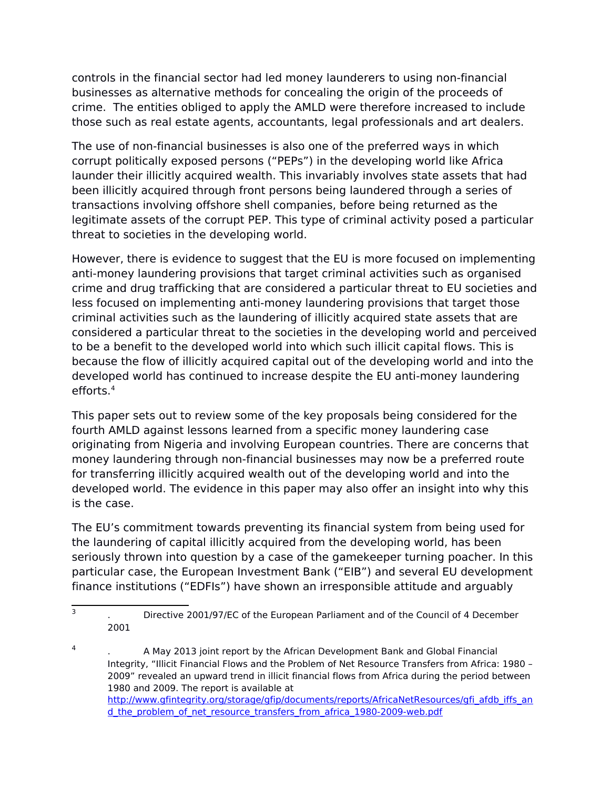controls in the financial sector had led money launderers to using non-financial businesses as alternative methods for concealing the origin of the proceeds of crime. The entities obliged to apply the AMLD were therefore increased to include those such as real estate agents, accountants, legal professionals and art dealers.

The use of non-financial businesses is also one of the preferred ways in which corrupt politically exposed persons ("PEPs") in the developing world like Africa launder their illicitly acquired wealth. This invariably involves state assets that had been illicitly acquired through front persons being laundered through a series of transactions involving offshore shell companies, before being returned as the legitimate assets of the corrupt PEP. This type of criminal activity posed a particular threat to societies in the developing world.

However, there is evidence to suggest that the EU is more focused on implementing anti-money laundering provisions that target criminal activities such as organised crime and drug trafficking that are considered a particular threat to EU societies and less focused on implementing anti-money laundering provisions that target those criminal activities such as the laundering of illicitly acquired state assets that are considered a particular threat to the societies in the developing world and perceived to be a benefit to the developed world into which such illicit capital flows. This is because the flow of illicitly acquired capital out of the developing world and into the developed world has continued to increase despite the EU anti-money laundering efforts.[4](#page-1-0)

This paper sets out to review some of the key proposals being considered for the fourth AMLD against lessons learned from a specific money laundering case originating from Nigeria and involving European countries. There are concerns that money laundering through non-financial businesses may now be a preferred route for transferring illicitly acquired wealth out of the developing world and into the developed world. The evidence in this paper may also offer an insight into why this is the case.

The EU's commitment towards preventing its financial system from being used for the laundering of capital illicitly acquired from the developing world, has been seriously thrown into question by a case of the gamekeeper turning poacher. In this particular case, the European Investment Bank ("EIB") and several EU development finance institutions ("EDFIs") have shown an irresponsible attitude and arguably

 $\overline{3}$ . Directive 2001/97/EC of the European Parliament and of the Council of 4 December 2001

<span id="page-1-0"></span><sup>4</sup> . A May 2013 joint report by the African Development Bank and Global Financial Integrity, "Illicit Financial Flows and the Problem of Net Resource Transfers from Africa: 1980 – 2009" revealed an upward trend in illicit financial flows from Africa during the period between 1980 and 2009. The report is available at [http://www.gfintegrity.org/storage/gfip/documents/reports/AfricaNetResources/gfi\\_afdb\\_iffs\\_an](http://www.gfintegrity.org/storage/gfip/documents/reports/AfricaNetResources/gfi_afdb_iffs_and_the_problem_of_net_resource_transfers_from_africa_1980-2009-web.pdf) d the problem of net resource transfers from africa 1980-2009-web.pdf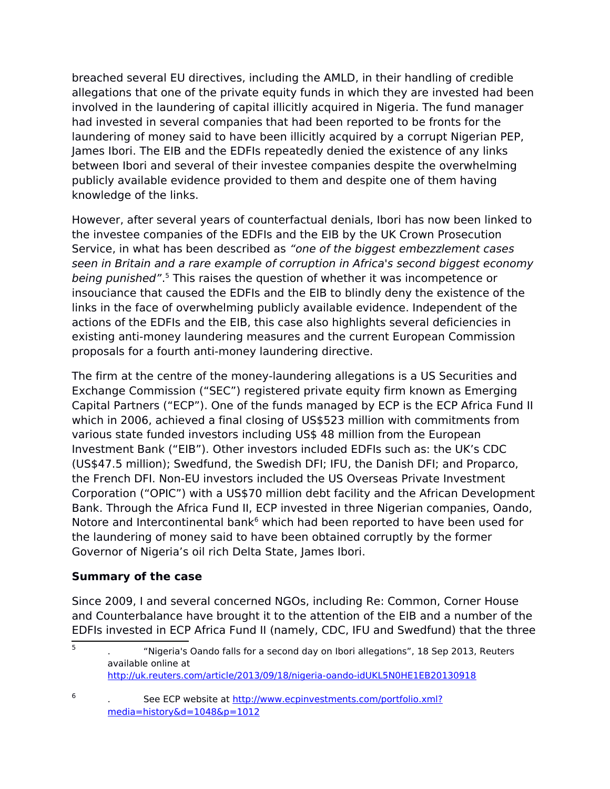breached several EU directives, including the AMLD, in their handling of credible allegations that one of the private equity funds in which they are invested had been involved in the laundering of capital illicitly acquired in Nigeria. The fund manager had invested in several companies that had been reported to be fronts for the laundering of money said to have been illicitly acquired by a corrupt Nigerian PEP, James Ibori. The EIB and the EDFIs repeatedly denied the existence of any links between Ibori and several of their investee companies despite the overwhelming publicly available evidence provided to them and despite one of them having knowledge of the links.

However, after several years of counterfactual denials, Ibori has now been linked to the investee companies of the EDFIs and the EIB by the UK Crown Prosecution Service, in what has been described as "one of the biggest embezzlement cases seen in Britain and a rare example of corruption in Africa's second biggest economy being punished".<sup>[5](#page-2-0)</sup> This raises the question of whether it was incompetence or insouciance that caused the EDFIs and the EIB to blindly deny the existence of the links in the face of overwhelming publicly available evidence. Independent of the actions of the EDFIs and the EIB, this case also highlights several deficiencies in existing anti-money laundering measures and the current European Commission proposals for a fourth anti-money laundering directive.

The firm at the centre of the money-laundering allegations is a US Securities and Exchange Commission ("SEC") registered private equity firm known as Emerging Capital Partners ("ECP"). One of the funds managed by ECP is the ECP Africa Fund II which in 2006, achieved a final closing of US\$523 million with commitments from various state funded investors including US\$ 48 million from the European Investment Bank ("EIB"). Other investors included EDFIs such as: the UK's CDC (US\$47.5 million); Swedfund, the Swedish DFI; IFU, the Danish DFI; and Proparco, the French DFI. Non-EU investors included the US Overseas Private Investment Corporation ("OPIC") with a US\$70 million debt facility and the African Development Bank. Through the Africa Fund II, ECP invested in three Nigerian companies, Oando, Notore and Intercontinental bank<sup>[6](#page-2-1)</sup> which had been reported to have been used for the laundering of money said to have been obtained corruptly by the former Governor of Nigeria's oil rich Delta State, James Ibori.

## **Summary of the case**

6

Since 2009, I and several concerned NGOs, including Re: Common, Corner House and Counterbalance have brought it to the attention of the EIB and a number of the EDFIs invested in ECP Africa Fund II (namely, CDC, IFU and Swedfund) that the three

<span id="page-2-0"></span> $\overline{5}$ . "Nigeria's Oando falls for a second day on Ibori allegations", 18 Sep 2013, Reuters available online at <http://uk.reuters.com/article/2013/09/18/nigeria-oando-idUKL5N0HE1EB20130918>

<span id="page-2-1"></span>See ECP website at [http://www.ecpinvestments.com/portfolio.xml?](http://www.ecpinvestments.com/portfolio.xml?media=history&d=1048&p=1012) [media=history&d=1048&p=1012](http://www.ecpinvestments.com/portfolio.xml?media=history&d=1048&p=1012)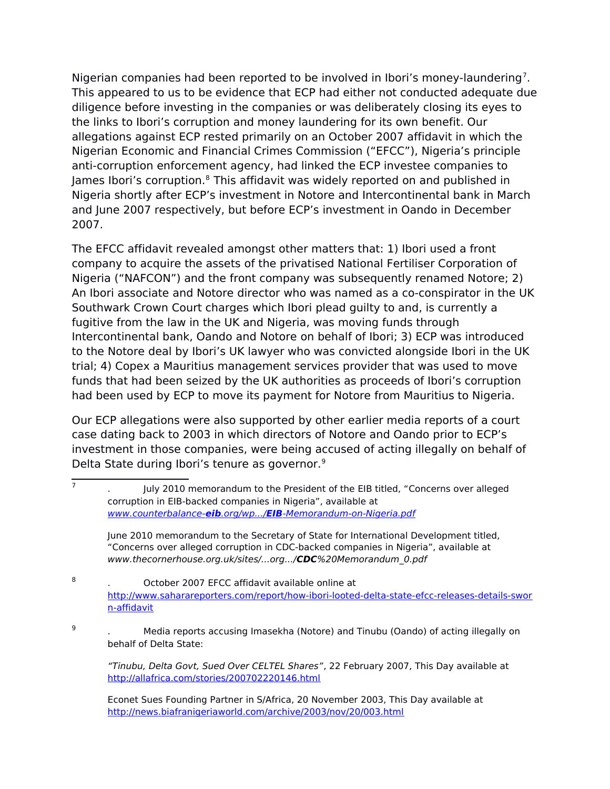Nigerian companies had been reported to be involved in Ibori's money-laundering<sup>[7](#page-3-0)</sup>. This appeared to us to be evidence that ECP had either not conducted adequate due diligence before investing in the companies or was deliberately closing its eyes to the links to Ibori's corruption and money laundering for its own benefit. Our allegations against ECP rested primarily on an October 2007 affidavit in which the Nigerian Economic and Financial Crimes Commission ("EFCC"), Nigeria's principle anti-corruption enforcement agency, had linked the ECP investee companies to James Ibori's corruption.<sup>8</sup> This affidavit was widely reported on and published in Nigeria shortly after ECP's investment in Notore and Intercontinental bank in March and June 2007 respectively, but before ECP's investment in Oando in December 2007.

The EFCC affidavit revealed amongst other matters that: 1) Ibori used a front company to acquire the assets of the privatised National Fertiliser Corporation of Nigeria ("NAFCON") and the front company was subsequently renamed Notore; 2) An Ibori associate and Notore director who was named as a co-conspirator in the UK Southwark Crown Court charges which Ibori plead guilty to and, is currently a fugitive from the law in the UK and Nigeria, was moving funds through Intercontinental bank, Oando and Notore on behalf of Ibori; 3) ECP was introduced to the Notore deal by Ibori's UK lawyer who was convicted alongside Ibori in the UK trial; 4) Copex a Mauritius management services provider that was used to move funds that had been seized by the UK authorities as proceeds of Ibori's corruption had been used by ECP to move its payment for Notore from Mauritius to Nigeria.

Our ECP allegations were also supported by other earlier media reports of a court case dating back to 2003 in which directors of Notore and Oando prior to ECP's investment in those companies, were being accused of acting illegally on behalf of Delta State during Ibori's tenure as governor.<sup>[9](#page-3-2)</sup>

<span id="page-3-1"></span>8 . October 2007 EFCC affidavit available online at [http://www.saharareporters.com/report/how-ibori-looted-delta-state-efcc-releases-details-swor](http://www.saharareporters.com/report/how-ibori-looted-delta-state-efcc-releases-details-sworn-affidavit) [n-affidavit](http://www.saharareporters.com/report/how-ibori-looted-delta-state-efcc-releases-details-sworn-affidavit)

9

<span id="page-3-2"></span>. Media reports accusing Imasekha (Notore) and Tinubu (Oando) of acting illegally on behalf of Delta State:

"Tinubu, Delta Govt, Sued Over CELTEL Shares", 22 February 2007, This Day available at <http://allafrica.com/stories/200702220146.html>

<span id="page-3-0"></span> $\overline{7}$ . July 2010 memorandum to the President of the EIB titled, "Concerns over alleged corruption in EIB-backed companies in Nigeria", available at www.counterbalance- **eib** .org/wp.../ **EIB** [-Memorandum-on-Nigeria.pdf](http://www.counterbalance-eib.org/wp.../EIB-Memorandum-on-Nigeria.pdf)

June 2010 memorandum to the Secretary of State for International Development titled, "Concerns over alleged corruption in CDC-backed companies in Nigeria", available at www.thecornerhouse.org.uk/sites/...org.../**CDC**%20Memorandum\_0.pdf

Econet Sues Founding Partner in S/Africa, 20 November 2003, This Day available at <http://news.biafranigeriaworld.com/archive/2003/nov/20/003.html>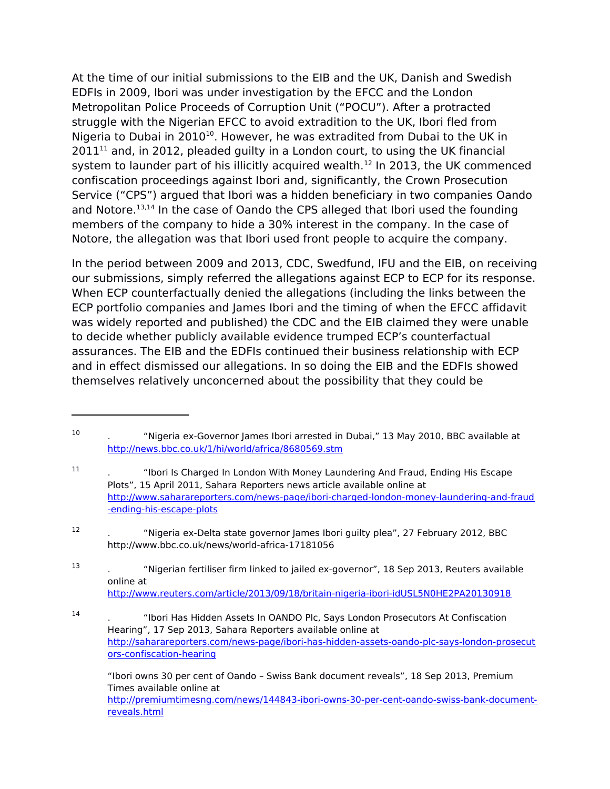At the time of our initial submissions to the EIB and the UK, Danish and Swedish EDFIs in 2009, Ibori was under investigation by the EFCC and the London Metropolitan Police Proceeds of Corruption Unit ("POCU"). After a protracted struggle with the Nigerian EFCC to avoid extradition to the UK, Ibori fled from Nigeria to Dubai in 20[10](#page-4-0)<sup>10</sup>. However, he was extradited from Dubai to the UK in  $2011<sup>11</sup>$  $2011<sup>11</sup>$  $2011<sup>11</sup>$  and, in 2012, pleaded guilty in a London court, to using the UK financial system to launder part of his illicitly acquired wealth.<sup>[12](#page-4-2)</sup> In 2013, the UK commenced confiscation proceedings against Ibori and, significantly, the Crown Prosecution Service ("CPS") argued that Ibori was a hidden beneficiary in two companies Oando and Notore.[13](#page-4-3)[,14](#page-4-4) In the case of Oando the CPS alleged that Ibori used the founding members of the company to hide a 30% interest in the company. In the case of Notore, the allegation was that Ibori used front people to acquire the company.

In the period between 2009 and 2013, CDC, Swedfund, IFU and the EIB, on receiving our submissions, simply referred the allegations against ECP to ECP for its response. When ECP counterfactually denied the allegations (including the links between the ECP portfolio companies and James Ibori and the timing of when the EFCC affidavit was widely reported and published) the CDC and the EIB claimed they were unable to decide whether publicly available evidence trumped ECP's counterfactual assurances. The EIB and the EDFIs continued their business relationship with ECP and in effect dismissed our allegations. In so doing the EIB and the EDFIs showed themselves relatively unconcerned about the possibility that they could be

"Ibori owns 30 per cent of Oando – Swiss Bank document reveals", 18 Sep 2013, Premium Times available online at [http://premiumtimesng.com/news/144843-ibori-owns-30-per-cent-oando-swiss-bank-document](http://premiumtimesng.com/news/144843-ibori-owns-30-per-cent-oando-swiss-bank-document-reveals.html)[reveals.html](http://premiumtimesng.com/news/144843-ibori-owns-30-per-cent-oando-swiss-bank-document-reveals.html)

<span id="page-4-0"></span><sup>10</sup> . "Nigeria ex-Governor James Ibori arrested in Dubai," 13 May 2010, BBC available at <http://news.bbc.co.uk/1/hi/world/africa/8680569.stm>

<span id="page-4-1"></span><sup>11</sup> . "Ibori Is Charged In London With Money Laundering And Fraud, Ending His Escape Plots", 15 April 2011, Sahara Reporters news article available online at [http://www.saharareporters.com/news-page/ibori-charged-london-money-laundering-and-fraud](http://www.saharareporters.com/news-page/ibori-charged-london-money-laundering-and-fraud-ending-his-escape-plots) [-ending-his-escape-plots](http://www.saharareporters.com/news-page/ibori-charged-london-money-laundering-and-fraud-ending-his-escape-plots)

<span id="page-4-2"></span><sup>12</sup> . "Nigeria ex-Delta state governor James Ibori guilty plea", 27 February 2012, BBC http://www.bbc.co.uk/news/world-africa-17181056

<span id="page-4-3"></span><sup>13</sup> . "Nigerian fertiliser firm linked to jailed ex-governor", 18 Sep 2013, Reuters available online at <http://www.reuters.com/article/2013/09/18/britain-nigeria-ibori-idUSL5N0HE2PA20130918>

<span id="page-4-4"></span><sup>14</sup> . "Ibori Has Hidden Assets In OANDO Plc, Says London Prosecutors At Confiscation Hearing", 17 Sep 2013, Sahara Reporters available online at [http://saharareporters.com/news-page/ibori-has-hidden-assets-oando-plc-says-london-prosecut](http://saharareporters.com/news-page/ibori-has-hidden-assets-oando-plc-says-london-prosecutors-confiscation-hearing) [ors-confiscation-hearing](http://saharareporters.com/news-page/ibori-has-hidden-assets-oando-plc-says-london-prosecutors-confiscation-hearing)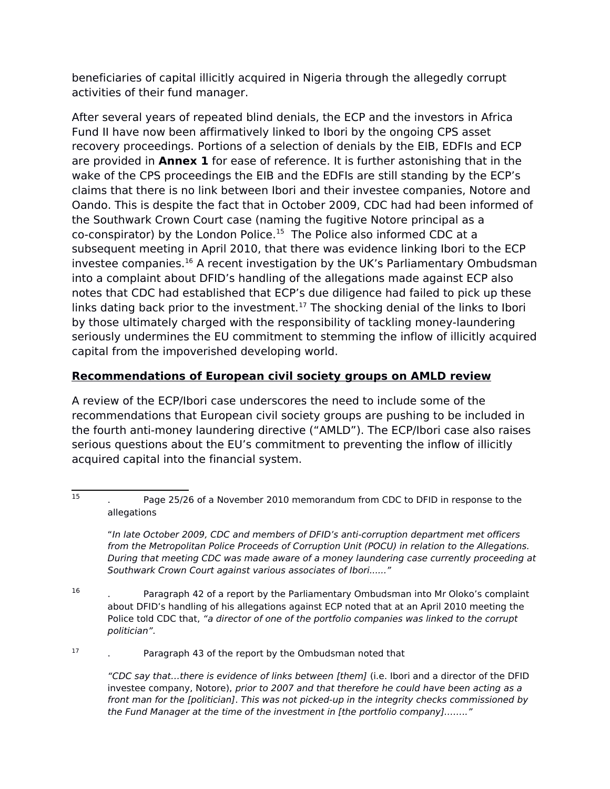beneficiaries of capital illicitly acquired in Nigeria through the allegedly corrupt activities of their fund manager.

After several years of repeated blind denials, the ECP and the investors in Africa Fund II have now been affirmatively linked to Ibori by the ongoing CPS asset recovery proceedings. Portions of a selection of denials by the EIB, EDFIs and ECP are provided in **Annex 1** for ease of reference. It is further astonishing that in the wake of the CPS proceedings the EIB and the EDFIs are still standing by the ECP's claims that there is no link between Ibori and their investee companies, Notore and Oando. This is despite the fact that in October 2009, CDC had had been informed of the Southwark Crown Court case (naming the fugitive Notore principal as a co-conspirator) by the London Police.[15](#page-5-0) The Police also informed CDC at a subsequent meeting in April 2010, that there was evidence linking Ibori to the ECP investee companies.[16](#page-5-1) A recent investigation by the UK's Parliamentary Ombudsman into a complaint about DFID's handling of the allegations made against ECP also notes that CDC had established that ECP's due diligence had failed to pick up these links dating back prior to the investment.<sup>[17](#page-5-2)</sup> The shocking denial of the links to Ibori by those ultimately charged with the responsibility of tackling money-laundering seriously undermines the EU commitment to stemming the inflow of illicitly acquired capital from the impoverished developing world.

# **Recommendations of European civil society groups on AMLD review**

A review of the ECP/Ibori case underscores the need to include some of the recommendations that European civil society groups are pushing to be included in the fourth anti-money laundering directive ("AMLD"). The ECP/Ibori case also raises serious questions about the EU's commitment to preventing the inflow of illicitly acquired capital into the financial system.

<span id="page-5-0"></span>"In late October 2009, CDC and members of DFID's anti-corruption department met officers from the Metropolitan Police Proceeds of Corruption Unit (POCU) in relation to the Allegations. During that meeting CDC was made aware of a money laundering case currently proceeding at Southwark Crown Court against various associates of Ibori......"

<span id="page-5-1"></span>16 . Paragraph 42 of a report by the Parliamentary Ombudsman into Mr Oloko's complaint about DFID's handling of his allegations against ECP noted that at an April 2010 meeting the Police told CDC that, "a director of one of the portfolio companies was linked to the corrupt politician".

17 . Paragraph 43 of the report by the Ombudsman noted that

> <span id="page-5-2"></span>"CDC say that…there is evidence of links between [them] (i.e. Ibori and a director of the DFID investee company, Notore), prior to 2007 and that therefore he could have been acting as a front man for the [politician]. This was not picked-up in the integrity checks commissioned by the Fund Manager at the time of the investment in [the portfolio company]…….."

<sup>15</sup> . Page 25/26 of a November 2010 memorandum from CDC to DFID in response to the allegations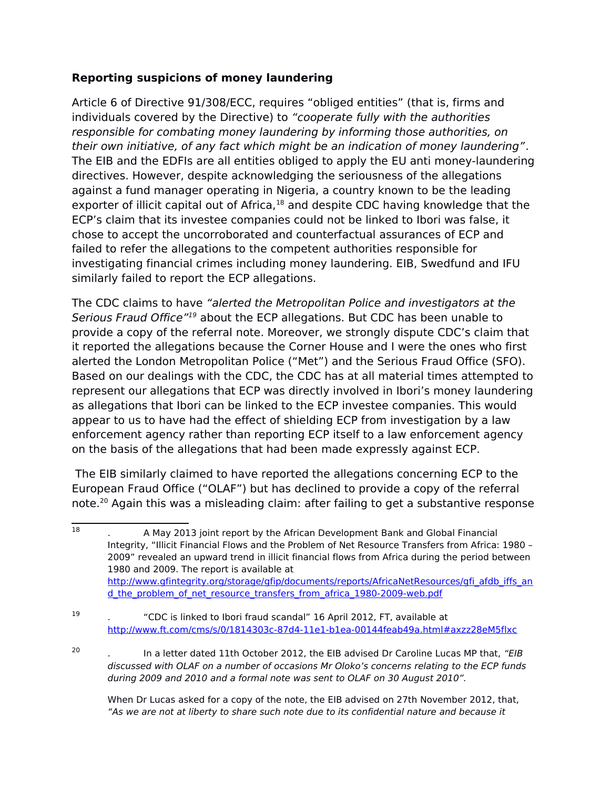## **Reporting suspicions of money laundering**

Article 6 of Directive 91/308/ECC, requires "obliged entities" (that is, firms and individuals covered by the Directive) to "cooperate fully with the authorities responsible for combating money laundering by informing those authorities, on their own initiative, of any fact which might be an indication of money laundering". The EIB and the EDFIs are all entities obliged to apply the EU anti money-laundering directives. However, despite acknowledging the seriousness of the allegations against a fund manager operating in Nigeria, a country known to be the leading exporter of illicit capital out of Africa,<sup>[18](#page-6-0)</sup> and despite CDC having knowledge that the ECP's claim that its investee companies could not be linked to Ibori was false, it chose to accept the uncorroborated and counterfactual assurances of ECP and failed to refer the allegations to the competent authorities responsible for investigating financial crimes including money laundering. EIB, Swedfund and IFU similarly failed to report the ECP allegations.

The CDC claims to have "alerted the Metropolitan Police and investigators at the Serious Fraud Office<sup>"[19](#page-6-1)</sup> about the ECP allegations. But CDC has been unable to provide a copy of the referral note. Moreover, we strongly dispute CDC's claim that it reported the allegations because the Corner House and I were the ones who first alerted the London Metropolitan Police ("Met") and the Serious Fraud Office (SFO). Based on our dealings with the CDC, the CDC has at all material times attempted to represent our allegations that ECP was directly involved in Ibori's money laundering as allegations that Ibori can be linked to the ECP investee companies. This would appear to us to have had the effect of shielding ECP from investigation by a law enforcement agency rather than reporting ECP itself to a law enforcement agency on the basis of the allegations that had been made expressly against ECP.

The EIB similarly claimed to have reported the allegations concerning ECP to the European Fraud Office ("OLAF") but has declined to provide a copy of the referral note.[20](#page-6-2) Again this was a misleading claim: after failing to get a substantive response

20

<span id="page-6-2"></span>In a letter dated 11th October 2012, the EIB advised Dr Caroline Lucas MP that, "EIB discussed with OLAF on a number of occasions Mr Oloko's concerns relating to the ECP funds during 2009 and 2010 and a formal note was sent to OLAF on 30 August 2010".

When Dr Lucas asked for a copy of the note, the EIB advised on 27th November 2012, that, "As we are not at liberty to share such note due to its confidential nature and because it

<span id="page-6-0"></span><sup>18</sup> . A May 2013 joint report by the African Development Bank and Global Financial Integrity, "Illicit Financial Flows and the Problem of Net Resource Transfers from Africa: 1980 – 2009" revealed an upward trend in illicit financial flows from Africa during the period between 1980 and 2009. The report is available at [http://www.gfintegrity.org/storage/gfip/documents/reports/AfricaNetResources/gfi\\_afdb\\_iffs\\_an](http://www.gfintegrity.org/storage/gfip/documents/reports/AfricaNetResources/gfi_afdb_iffs_and_the_problem_of_net_resource_transfers_from_africa_1980-2009-web.pdf) d the problem of net resource transfers from africa 1980-2009-web.pdf

<span id="page-6-1"></span><sup>19</sup> . "CDC is linked to Ibori fraud scandal" 16 April 2012, FT, available at <http://www.ft.com/cms/s/0/1814303c-87d4-11e1-b1ea-00144feab49a.html#axzz28eM5flxc>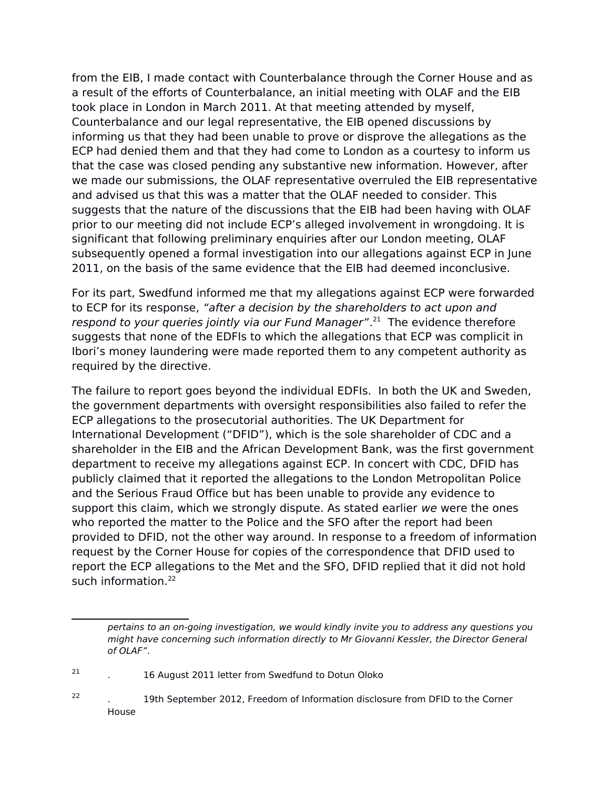from the EIB, I made contact with Counterbalance through the Corner House and as a result of the efforts of Counterbalance, an initial meeting with OLAF and the EIB took place in London in March 2011. At that meeting attended by myself, Counterbalance and our legal representative, the EIB opened discussions by informing us that they had been unable to prove or disprove the allegations as the ECP had denied them and that they had come to London as a courtesy to inform us that the case was closed pending any substantive new information. However, after we made our submissions, the OLAF representative overruled the EIB representative and advised us that this was a matter that the OLAF needed to consider. This suggests that the nature of the discussions that the EIB had been having with OLAF prior to our meeting did not include ECP's alleged involvement in wrongdoing. It is significant that following preliminary enquiries after our London meeting, OLAF subsequently opened a formal investigation into our allegations against ECP in June 2011, on the basis of the same evidence that the EIB had deemed inconclusive.

For its part, Swedfund informed me that my allegations against ECP were forwarded to ECP for its response, "after a decision by the shareholders to act upon and respond to your queries jointly via our Fund Manager".<sup>[21](#page-7-0)</sup> The evidence therefore suggests that none of the EDFIs to which the allegations that ECP was complicit in Ibori's money laundering were made reported them to any competent authority as required by the directive.

The failure to report goes beyond the individual EDFIs. In both the UK and Sweden, the government departments with oversight responsibilities also failed to refer the ECP allegations to the prosecutorial authorities. The UK Department for International Development ("DFID"), which is the sole shareholder of CDC and a shareholder in the EIB and the African Development Bank, was the first government department to receive my allegations against ECP. In concert with CDC, DFID has publicly claimed that it reported the allegations to the London Metropolitan Police and the Serious Fraud Office but has been unable to provide any evidence to support this claim, which we strongly dispute. As stated earlier we were the ones who reported the matter to the Police and the SFO after the report had been provided to DFID, not the other way around. In response to a freedom of information request by the Corner House for copies of the correspondence that DFID used to report the ECP allegations to the Met and the SFO, DFID replied that it did not hold such information.<sup>[22](#page-7-1)</sup>

pertains to an on-going investigation, we would kindly invite you to address any questions you might have concerning such information directly to Mr Giovanni Kessler, the Director General of OLAF".

<span id="page-7-0"></span><sup>21</sup> . 16 August 2011 letter from Swedfund to Dotun Oloko

<span id="page-7-1"></span><sup>22</sup> . 19th September 2012, Freedom of Information disclosure from DFID to the Corner House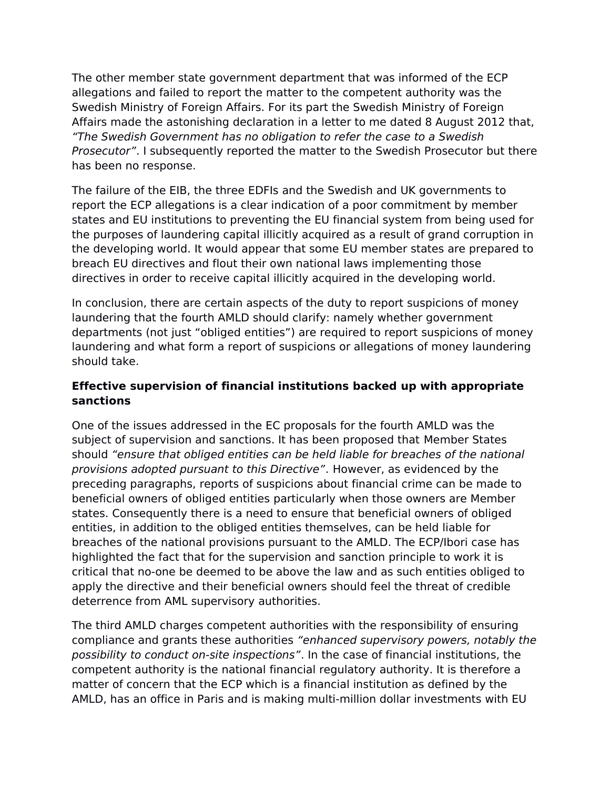The other member state government department that was informed of the ECP allegations and failed to report the matter to the competent authority was the Swedish Ministry of Foreign Affairs. For its part the Swedish Ministry of Foreign Affairs made the astonishing declaration in a letter to me dated 8 August 2012 that, "The Swedish Government has no obligation to refer the case to a Swedish Prosecutor". I subsequently reported the matter to the Swedish Prosecutor but there has been no response.

The failure of the EIB, the three EDFIs and the Swedish and UK governments to report the ECP allegations is a clear indication of a poor commitment by member states and EU institutions to preventing the EU financial system from being used for the purposes of laundering capital illicitly acquired as a result of grand corruption in the developing world. It would appear that some EU member states are prepared to breach EU directives and flout their own national laws implementing those directives in order to receive capital illicitly acquired in the developing world.

In conclusion, there are certain aspects of the duty to report suspicions of money laundering that the fourth AMLD should clarify: namely whether government departments (not just "obliged entities") are required to report suspicions of money laundering and what form a report of suspicions or allegations of money laundering should take.

## **Effective supervision of financial institutions backed up with appropriate sanctions**

One of the issues addressed in the EC proposals for the fourth AMLD was the subject of supervision and sanctions. It has been proposed that Member States should "ensure that obliged entities can be held liable for breaches of the national provisions adopted pursuant to this Directive". However, as evidenced by the preceding paragraphs, reports of suspicions about financial crime can be made to beneficial owners of obliged entities particularly when those owners are Member states. Consequently there is a need to ensure that beneficial owners of obliged entities, in addition to the obliged entities themselves, can be held liable for breaches of the national provisions pursuant to the AMLD. The ECP/Ibori case has highlighted the fact that for the supervision and sanction principle to work it is critical that no-one be deemed to be above the law and as such entities obliged to apply the directive and their beneficial owners should feel the threat of credible deterrence from AML supervisory authorities.

The third AMLD charges competent authorities with the responsibility of ensuring compliance and grants these authorities "enhanced supervisory powers, notably the possibility to conduct on-site inspections". In the case of financial institutions, the competent authority is the national financial regulatory authority. It is therefore a matter of concern that the ECP which is a financial institution as defined by the AMLD, has an office in Paris and is making multi-million dollar investments with EU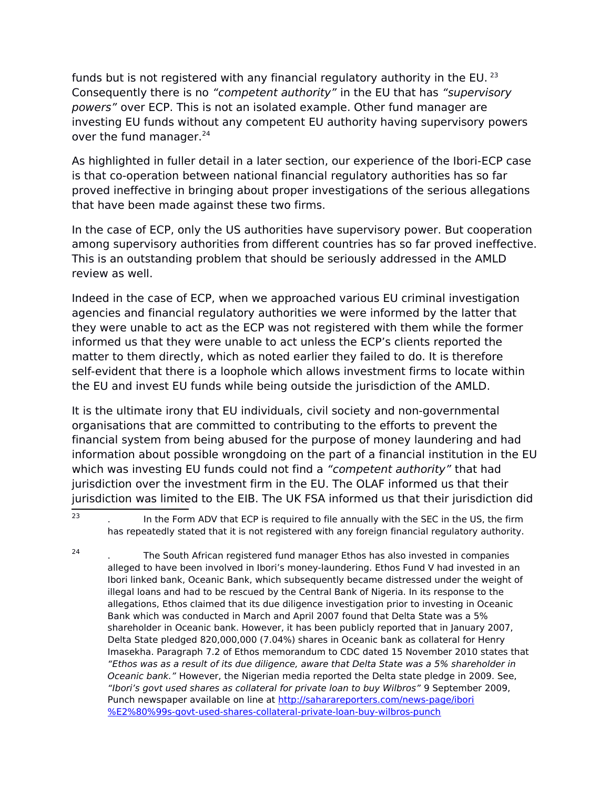funds but is not registered with any financial regulatory authority in the EU.  $^{23}$  $^{23}$  $^{23}$ Consequently there is no "competent authority" in the EU that has "supervisory powers" over ECP. This is not an isolated example. Other fund manager are investing EU funds without any competent EU authority having supervisory powers over the fund manager.<sup>[24](#page-9-1)</sup>

As highlighted in fuller detail in a later section, our experience of the Ibori-ECP case is that co-operation between national financial regulatory authorities has so far proved ineffective in bringing about proper investigations of the serious allegations that have been made against these two firms.

In the case of ECP, only the US authorities have supervisory power. But cooperation among supervisory authorities from different countries has so far proved ineffective. This is an outstanding problem that should be seriously addressed in the AMLD review as well.

Indeed in the case of ECP, when we approached various EU criminal investigation agencies and financial regulatory authorities we were informed by the latter that they were unable to act as the ECP was not registered with them while the former informed us that they were unable to act unless the ECP's clients reported the matter to them directly, which as noted earlier they failed to do. It is therefore self-evident that there is a loophole which allows investment firms to locate within the EU and invest EU funds while being outside the jurisdiction of the AMLD.

It is the ultimate irony that EU individuals, civil society and non-governmental organisations that are committed to contributing to the efforts to prevent the financial system from being abused for the purpose of money laundering and had information about possible wrongdoing on the part of a financial institution in the EU which was investing EU funds could not find a "competent authority" that had jurisdiction over the investment firm in the EU. The OLAF informed us that their jurisdiction was limited to the EIB. The UK FSA informed us that their jurisdiction did

<span id="page-9-0"></span> $\overline{23}$ In the Form ADV that ECP is required to file annually with the SEC in the US, the firm has repeatedly stated that it is not registered with any foreign financial regulatory authority.

<span id="page-9-1"></span><sup>24</sup> . The South African registered fund manager Ethos has also invested in companies alleged to have been involved in Ibori's money-laundering. Ethos Fund V had invested in an Ibori linked bank, Oceanic Bank, which subsequently became distressed under the weight of illegal loans and had to be rescued by the Central Bank of Nigeria. In its response to the allegations, Ethos claimed that its due diligence investigation prior to investing in Oceanic Bank which was conducted in March and April 2007 found that Delta State was a 5% shareholder in Oceanic bank. However, it has been publicly reported that in January 2007, Delta State pledged 820,000,000 (7.04%) shares in Oceanic bank as collateral for Henry Imasekha. Paragraph 7.2 of Ethos memorandum to CDC dated 15 November 2010 states that "Ethos was as a result of its due diligence, aware that Delta State was a 5% shareholder in Oceanic bank." However, the Nigerian media reported the Delta state pledge in 2009. See, "Ibori's govt used shares as collateral for private loan to buy Wilbros" 9 September 2009, Punch newspaper available on line at [http://saharareporters.com/news-page/ibori](http://saharareporters.com/news-page/ibori%E2%80%99s-govt-used-shares-collateral-private-loan-buy-wilbros-punch) [%E2%80%99s-govt-used-shares-collateral-private-loan-buy-wilbros-punch](http://saharareporters.com/news-page/ibori%E2%80%99s-govt-used-shares-collateral-private-loan-buy-wilbros-punch)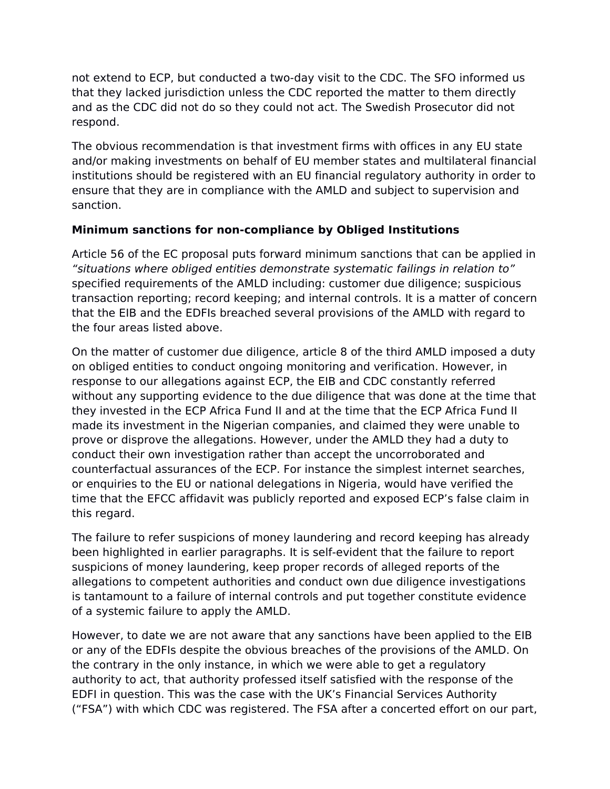not extend to ECP, but conducted a two-day visit to the CDC. The SFO informed us that they lacked jurisdiction unless the CDC reported the matter to them directly and as the CDC did not do so they could not act. The Swedish Prosecutor did not respond.

The obvious recommendation is that investment firms with offices in any EU state and/or making investments on behalf of EU member states and multilateral financial institutions should be registered with an EU financial regulatory authority in order to ensure that they are in compliance with the AMLD and subject to supervision and sanction.

## **Minimum sanctions for non-compliance by Obliged Institutions**

Article 56 of the EC proposal puts forward minimum sanctions that can be applied in "situations where obliged entities demonstrate systematic failings in relation to" specified requirements of the AMLD including: customer due diligence; suspicious transaction reporting; record keeping; and internal controls. It is a matter of concern that the EIB and the EDFIs breached several provisions of the AMLD with regard to the four areas listed above.

On the matter of customer due diligence, article 8 of the third AMLD imposed a duty on obliged entities to conduct ongoing monitoring and verification. However, in response to our allegations against ECP, the EIB and CDC constantly referred without any supporting evidence to the due diligence that was done at the time that they invested in the ECP Africa Fund II and at the time that the ECP Africa Fund II made its investment in the Nigerian companies, and claimed they were unable to prove or disprove the allegations. However, under the AMLD they had a duty to conduct their own investigation rather than accept the uncorroborated and counterfactual assurances of the ECP. For instance the simplest internet searches, or enquiries to the EU or national delegations in Nigeria, would have verified the time that the EFCC affidavit was publicly reported and exposed ECP's false claim in this regard.

The failure to refer suspicions of money laundering and record keeping has already been highlighted in earlier paragraphs. It is self-evident that the failure to report suspicions of money laundering, keep proper records of alleged reports of the allegations to competent authorities and conduct own due diligence investigations is tantamount to a failure of internal controls and put together constitute evidence of a systemic failure to apply the AMLD.

However, to date we are not aware that any sanctions have been applied to the EIB or any of the EDFIs despite the obvious breaches of the provisions of the AMLD. On the contrary in the only instance, in which we were able to get a regulatory authority to act, that authority professed itself satisfied with the response of the EDFI in question. This was the case with the UK's Financial Services Authority ("FSA") with which CDC was registered. The FSA after a concerted effort on our part,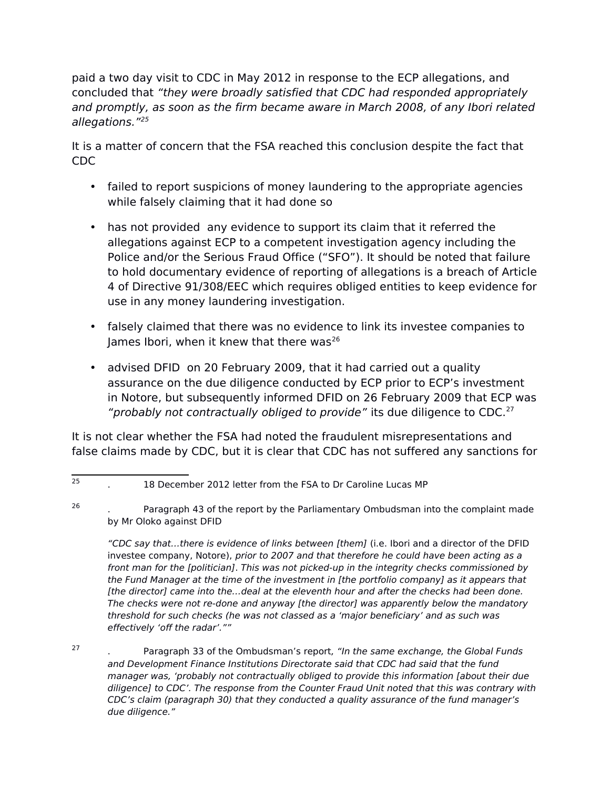paid a two day visit to CDC in May 2012 in response to the ECP allegations, and concluded that "they were broadly satisfied that CDC had responded appropriately and promptly, as soon as the firm became aware in March 2008, of any Ibori related allegations."[25](#page-11-0)

It is a matter of concern that the FSA reached this conclusion despite the fact that CDC

- failed to report suspicions of money laundering to the appropriate agencies while falsely claiming that it had done so
- has not provided any evidence to support its claim that it referred the allegations against ECP to a competent investigation agency including the Police and/or the Serious Fraud Office ("SFO"). It should be noted that failure to hold documentary evidence of reporting of allegations is a breach of Article 4 of Directive 91/308/EEC which requires obliged entities to keep evidence for use in any money laundering investigation.
- falsely claimed that there was no evidence to link its investee companies to James Ibori, when it knew that there was<sup>[26](#page-11-1)</sup>
- advised DFID on 20 February 2009, that it had carried out a quality assurance on the due diligence conducted by ECP prior to ECP's investment in Notore, but subsequently informed DFID on 26 February 2009 that ECP was "probably not contractually obliged to provide" its due diligence to CDC. $^{27}$  $^{27}$  $^{27}$

It is not clear whether the FSA had noted the fraudulent misrepresentations and false claims made by CDC, but it is clear that CDC has not suffered any sanctions for

"CDC say that…there is evidence of links between [them] (i.e. Ibori and a director of the DFID investee company, Notore), prior to 2007 and that therefore he could have been acting as a front man for the [politician]. This was not picked-up in the integrity checks commissioned by the Fund Manager at the time of the investment in [the portfolio company] as it appears that [the director] came into the...deal at the eleventh hour and after the checks had been done. The checks were not re-done and anyway [the director] was apparently below the mandatory threshold for such checks (he was not classed as a 'major beneficiary' and as such was effectively 'off the radar'.""

<span id="page-11-2"></span>27 Paragraph 33 of the Ombudsman's report, "In the same exchange, the Global Funds and Development Finance Institutions Directorate said that CDC had said that the fund manager was, 'probably not contractually obliged to provide this information [about their due diligence] to CDC'. The response from the Counter Fraud Unit noted that this was contrary with CDC's claim (paragraph 30) that they conducted a quality assurance of the fund manager's due diligence."

<sup>25</sup> . 18 December 2012 letter from the FSA to Dr Caroline Lucas MP

<sup>26</sup>

<span id="page-11-1"></span><span id="page-11-0"></span><sup>.</sup> Paragraph 43 of the report by the Parliamentary Ombudsman into the complaint made by Mr Oloko against DFID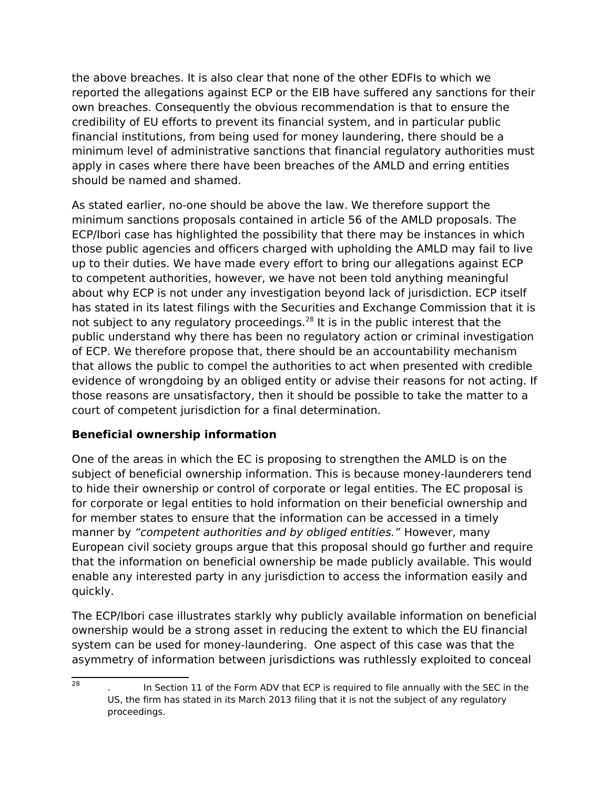the above breaches. It is also clear that none of the other EDFIs to which we reported the allegations against ECP or the EIB have suffered any sanctions for their own breaches. Consequently the obvious recommendation is that to ensure the credibility of EU efforts to prevent its financial system, and in particular public financial institutions, from being used for money laundering, there should be a minimum level of administrative sanctions that financial regulatory authorities must apply in cases where there have been breaches of the AMLD and erring entities should be named and shamed.

As stated earlier, no-one should be above the law. We therefore support the minimum sanctions proposals contained in article 56 of the AMLD proposals. The ECP/Ibori case has highlighted the possibility that there may be instances in which those public agencies and officers charged with upholding the AMLD may fail to live up to their duties. We have made every effort to bring our allegations against ECP to competent authorities, however, we have not been told anything meaningful about why ECP is not under any investigation beyond lack of jurisdiction. ECP itself has stated in its latest filings with the Securities and Exchange Commission that it is not subject to any regulatory proceedings.<sup>[28](#page-12-0)</sup> It is in the public interest that the public understand why there has been no regulatory action or criminal investigation of ECP. We therefore propose that, there should be an accountability mechanism that allows the public to compel the authorities to act when presented with credible evidence of wrongdoing by an obliged entity or advise their reasons for not acting. If those reasons are unsatisfactory, then it should be possible to take the matter to a court of competent jurisdiction for a final determination.

# **Beneficial ownership information**

One of the areas in which the EC is proposing to strengthen the AMLD is on the subject of beneficial ownership information. This is because money-launderers tend to hide their ownership or control of corporate or legal entities. The EC proposal is for corporate or legal entities to hold information on their beneficial ownership and for member states to ensure that the information can be accessed in a timely manner by "competent authorities and by obliged entities." However, many European civil society groups argue that this proposal should go further and require that the information on beneficial ownership be made publicly available. This would enable any interested party in any jurisdiction to access the information easily and quickly.

The ECP/Ibori case illustrates starkly why publicly available information on beneficial ownership would be a strong asset in reducing the extent to which the EU financial system can be used for money-laundering. One aspect of this case was that the asymmetry of information between jurisdictions was ruthlessly exploited to conceal

<span id="page-12-0"></span><sup>28</sup> . In Section 11 of the Form ADV that ECP is required to file annually with the SEC in the US, the firm has stated in its March 2013 filing that it is not the subject of any regulatory proceedings.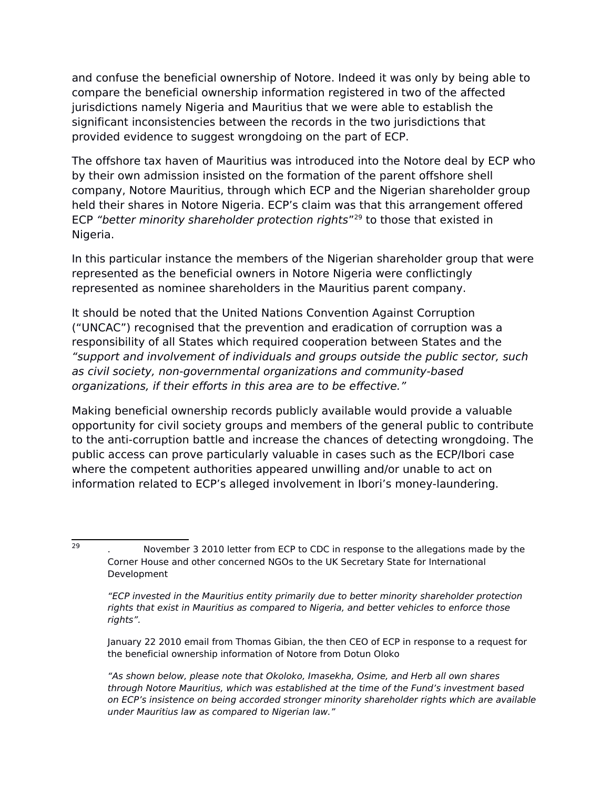and confuse the beneficial ownership of Notore. Indeed it was only by being able to compare the beneficial ownership information registered in two of the affected jurisdictions namely Nigeria and Mauritius that we were able to establish the significant inconsistencies between the records in the two jurisdictions that provided evidence to suggest wrongdoing on the part of ECP.

The offshore tax haven of Mauritius was introduced into the Notore deal by ECP who by their own admission insisted on the formation of the parent offshore shell company, Notore Mauritius, through which ECP and the Nigerian shareholder group held their shares in Notore Nigeria. ECP's claim was that this arrangement offered ECP "better minority shareholder protection rights"<sup>[29](#page-13-0)</sup> to those that existed in Nigeria.

In this particular instance the members of the Nigerian shareholder group that were represented as the beneficial owners in Notore Nigeria were conflictingly represented as nominee shareholders in the Mauritius parent company.

It should be noted that the United Nations Convention Against Corruption ("UNCAC") recognised that the prevention and eradication of corruption was a responsibility of all States which required cooperation between States and the "support and involvement of individuals and groups outside the public sector, such as civil society, non-governmental organizations and community-based organizations, if their efforts in this area are to be effective."

Making beneficial ownership records publicly available would provide a valuable opportunity for civil society groups and members of the general public to contribute to the anti-corruption battle and increase the chances of detecting wrongdoing. The public access can prove particularly valuable in cases such as the ECP/Ibori case where the competent authorities appeared unwilling and/or unable to act on information related to ECP's alleged involvement in Ibori's money-laundering.

29

January 22 2010 email from Thomas Gibian, the then CEO of ECP in response to a request for the beneficial ownership information of Notore from Dotun Oloko

"As shown below, please note that Okoloko, Imasekha, Osime, and Herb all own shares through Notore Mauritius, which was established at the time of the Fund's investment based on ECP's insistence on being accorded stronger minority shareholder rights which are available under Mauritius law as compared to Nigerian law."

<span id="page-13-0"></span><sup>.</sup> November 3 2010 letter from ECP to CDC in response to the allegations made by the Corner House and other concerned NGOs to the UK Secretary State for International Development

<sup>&</sup>quot;ECP invested in the Mauritius entity primarily due to better minority shareholder protection rights that exist in Mauritius as compared to Nigeria, and better vehicles to enforce those rights".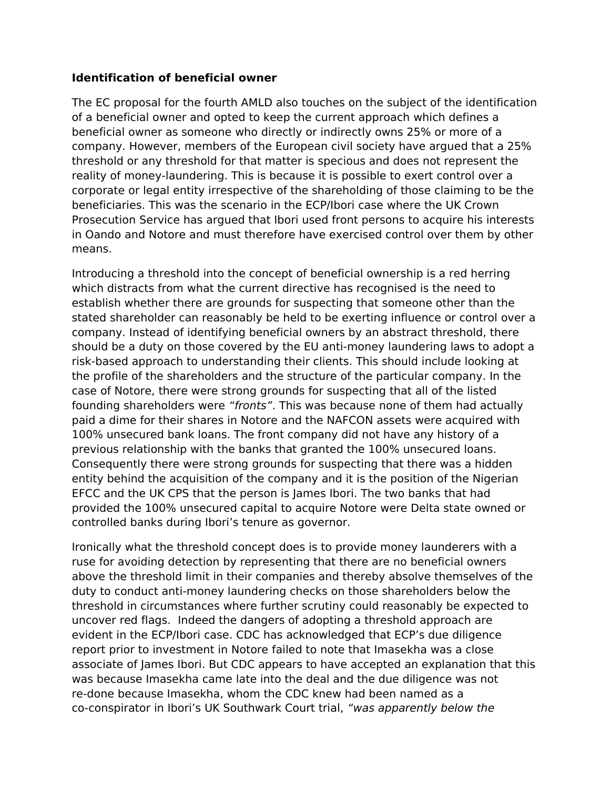#### **Identification of beneficial owner**

The EC proposal for the fourth AMLD also touches on the subject of the identification of a beneficial owner and opted to keep the current approach which defines a beneficial owner as someone who directly or indirectly owns 25% or more of a company. However, members of the European civil society have argued that a 25% threshold or any threshold for that matter is specious and does not represent the reality of money-laundering. This is because it is possible to exert control over a corporate or legal entity irrespective of the shareholding of those claiming to be the beneficiaries. This was the scenario in the ECP/Ibori case where the UK Crown Prosecution Service has argued that Ibori used front persons to acquire his interests in Oando and Notore and must therefore have exercised control over them by other means.

Introducing a threshold into the concept of beneficial ownership is a red herring which distracts from what the current directive has recognised is the need to establish whether there are grounds for suspecting that someone other than the stated shareholder can reasonably be held to be exerting influence or control over a company. Instead of identifying beneficial owners by an abstract threshold, there should be a duty on those covered by the EU anti-money laundering laws to adopt a risk-based approach to understanding their clients. This should include looking at the profile of the shareholders and the structure of the particular company. In the case of Notore, there were strong grounds for suspecting that all of the listed founding shareholders were "fronts". This was because none of them had actually paid a dime for their shares in Notore and the NAFCON assets were acquired with 100% unsecured bank loans. The front company did not have any history of a previous relationship with the banks that granted the 100% unsecured loans. Consequently there were strong grounds for suspecting that there was a hidden entity behind the acquisition of the company and it is the position of the Nigerian EFCC and the UK CPS that the person is James Ibori. The two banks that had provided the 100% unsecured capital to acquire Notore were Delta state owned or controlled banks during Ibori's tenure as governor.

Ironically what the threshold concept does is to provide money launderers with a ruse for avoiding detection by representing that there are no beneficial owners above the threshold limit in their companies and thereby absolve themselves of the duty to conduct anti-money laundering checks on those shareholders below the threshold in circumstances where further scrutiny could reasonably be expected to uncover red flags. Indeed the dangers of adopting a threshold approach are evident in the ECP/Ibori case. CDC has acknowledged that ECP's due diligence report prior to investment in Notore failed to note that Imasekha was a close associate of James Ibori. But CDC appears to have accepted an explanation that this was because Imasekha came late into the deal and the due diligence was not re-done because Imasekha, whom the CDC knew had been named as a co-conspirator in Ibori's UK Southwark Court trial, "was apparently below the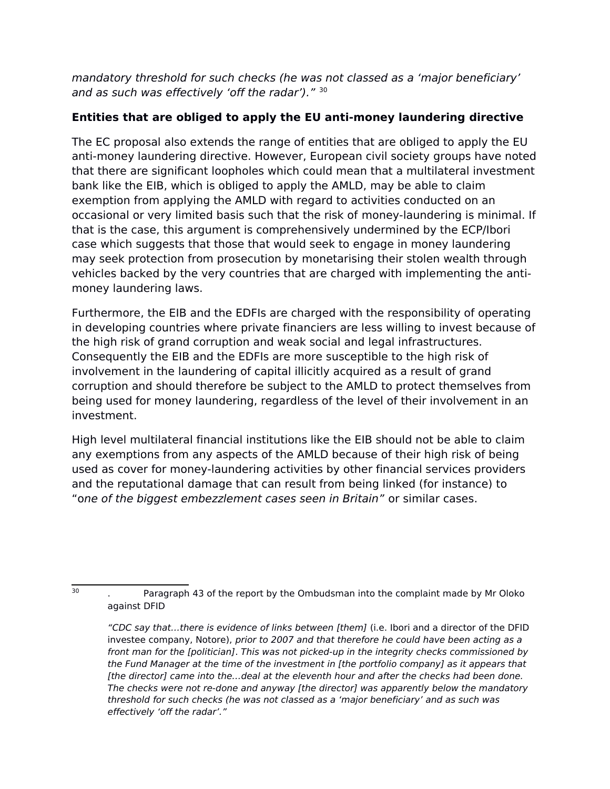mandatory threshold for such checks (he was not classed as a 'major beneficiary' and as such was effectively 'off the radar')." [30](#page-15-0)

# **Entities that are obliged to apply the EU anti-money laundering directive**

The EC proposal also extends the range of entities that are obliged to apply the EU anti-money laundering directive. However, European civil society groups have noted that there are significant loopholes which could mean that a multilateral investment bank like the EIB, which is obliged to apply the AMLD, may be able to claim exemption from applying the AMLD with regard to activities conducted on an occasional or very limited basis such that the risk of money-laundering is minimal. If that is the case, this argument is comprehensively undermined by the ECP/Ibori case which suggests that those that would seek to engage in money laundering may seek protection from prosecution by monetarising their stolen wealth through vehicles backed by the very countries that are charged with implementing the antimoney laundering laws.

Furthermore, the EIB and the EDFIs are charged with the responsibility of operating in developing countries where private financiers are less willing to invest because of the high risk of grand corruption and weak social and legal infrastructures. Consequently the EIB and the EDFIs are more susceptible to the high risk of involvement in the laundering of capital illicitly acquired as a result of grand corruption and should therefore be subject to the AMLD to protect themselves from being used for money laundering, regardless of the level of their involvement in an investment.

High level multilateral financial institutions like the EIB should not be able to claim any exemptions from any aspects of the AMLD because of their high risk of being used as cover for money-laundering activities by other financial services providers and the reputational damage that can result from being linked (for instance) to "one of the biggest embezzlement cases seen in Britain" or similar cases.

30

<span id="page-15-0"></span><sup>.</sup> Paragraph 43 of the report by the Ombudsman into the complaint made by Mr Oloko against DFID

<sup>&</sup>quot;CDC say that…there is evidence of links between [them] (i.e. Ibori and a director of the DFID investee company, Notore), prior to 2007 and that therefore he could have been acting as a front man for the [politician]. This was not picked-up in the integrity checks commissioned by the Fund Manager at the time of the investment in [the portfolio company] as it appears that [the director] came into the...deal at the eleventh hour and after the checks had been done. The checks were not re-done and anyway [the director] was apparently below the mandatory threshold for such checks (he was not classed as a 'major beneficiary' and as such was effectively 'off the radar'."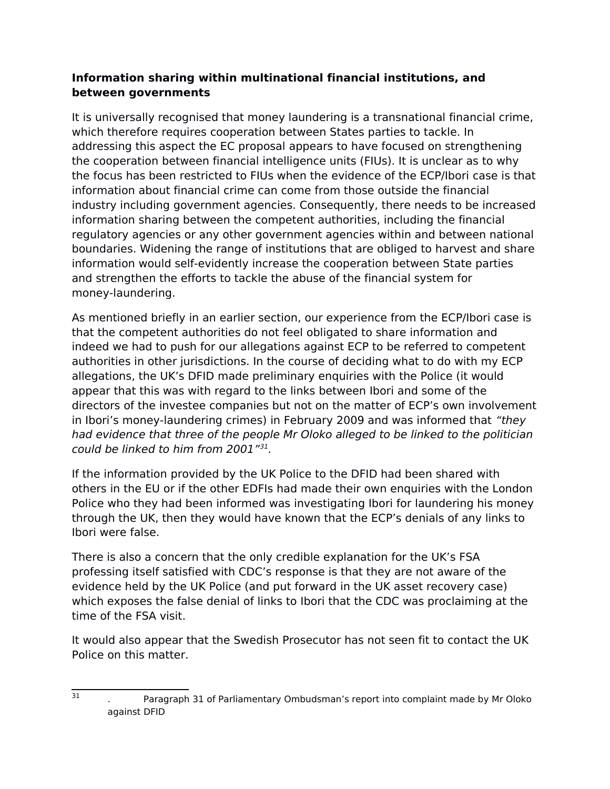## **Information sharing within multinational financial institutions, and between governments**

It is universally recognised that money laundering is a transnational financial crime, which therefore requires cooperation between States parties to tackle. In addressing this aspect the EC proposal appears to have focused on strengthening the cooperation between financial intelligence units (FIUs). It is unclear as to why the focus has been restricted to FIUs when the evidence of the ECP/Ibori case is that information about financial crime can come from those outside the financial industry including government agencies. Consequently, there needs to be increased information sharing between the competent authorities, including the financial regulatory agencies or any other government agencies within and between national boundaries. Widening the range of institutions that are obliged to harvest and share information would self-evidently increase the cooperation between State parties and strengthen the efforts to tackle the abuse of the financial system for money-laundering.

As mentioned briefly in an earlier section, our experience from the ECP/Ibori case is that the competent authorities do not feel obligated to share information and indeed we had to push for our allegations against ECP to be referred to competent authorities in other jurisdictions. In the course of deciding what to do with my ECP allegations, the UK's DFID made preliminary enquiries with the Police (it would appear that this was with regard to the links between Ibori and some of the directors of the investee companies but not on the matter of ECP's own involvement in Ibori's money-laundering crimes) in February 2009 and was informed that "they had evidence that three of the people Mr Oloko alleged to be linked to the politician could be linked to him from 2001"[31](#page-16-0) .

If the information provided by the UK Police to the DFID had been shared with others in the EU or if the other EDFIs had made their own enquiries with the London Police who they had been informed was investigating Ibori for laundering his money through the UK, then they would have known that the ECP's denials of any links to Ibori were false.

There is also a concern that the only credible explanation for the UK's FSA professing itself satisfied with CDC's response is that they are not aware of the evidence held by the UK Police (and put forward in the UK asset recovery case) which exposes the false denial of links to Ibori that the CDC was proclaiming at the time of the FSA visit.

It would also appear that the Swedish Prosecutor has not seen fit to contact the UK Police on this matter.

31

<span id="page-16-0"></span><sup>.</sup> Paragraph 31 of Parliamentary Ombudsman's report into complaint made by Mr Oloko against DFID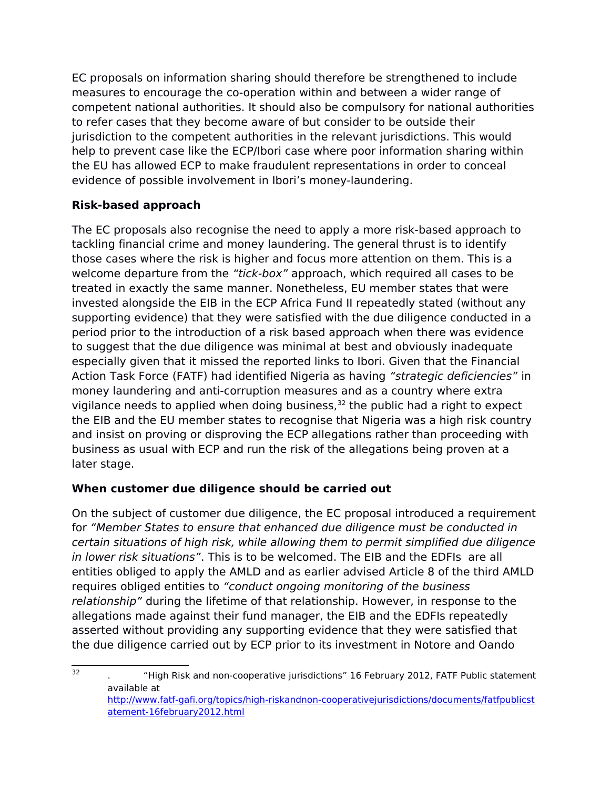EC proposals on information sharing should therefore be strengthened to include measures to encourage the co-operation within and between a wider range of competent national authorities. It should also be compulsory for national authorities to refer cases that they become aware of but consider to be outside their jurisdiction to the competent authorities in the relevant jurisdictions. This would help to prevent case like the ECP/Ibori case where poor information sharing within the EU has allowed ECP to make fraudulent representations in order to conceal evidence of possible involvement in Ibori's money-laundering.

# **Risk-based approach**

The EC proposals also recognise the need to apply a more risk-based approach to tackling financial crime and money laundering. The general thrust is to identify those cases where the risk is higher and focus more attention on them. This is a welcome departure from the "tick-box" approach, which required all cases to be treated in exactly the same manner. Nonetheless, EU member states that were invested alongside the EIB in the ECP Africa Fund II repeatedly stated (without any supporting evidence) that they were satisfied with the due diligence conducted in a period prior to the introduction of a risk based approach when there was evidence to suggest that the due diligence was minimal at best and obviously inadequate especially given that it missed the reported links to Ibori. Given that the Financial Action Task Force (FATF) had identified Nigeria as having "strategic deficiencies" in money laundering and anti-corruption measures and as a country where extra vigilance needs to applied when doing business, $32$  the public had a right to expect the EIB and the EU member states to recognise that Nigeria was a high risk country and insist on proving or disproving the ECP allegations rather than proceeding with business as usual with ECP and run the risk of the allegations being proven at a later stage.

# **When customer due diligence should be carried out**

On the subject of customer due diligence, the EC proposal introduced a requirement for "Member States to ensure that enhanced due diligence must be conducted in certain situations of high risk, while allowing them to permit simplified due diligence in lower risk situations". This is to be welcomed. The EIB and the EDFIs are all entities obliged to apply the AMLD and as earlier advised Article 8 of the third AMLD requires obliged entities to "conduct ongoing monitoring of the business relationship" during the lifetime of that relationship. However, in response to the allegations made against their fund manager, the EIB and the EDFIs repeatedly asserted without providing any supporting evidence that they were satisfied that the due diligence carried out by ECP prior to its investment in Notore and Oando

<span id="page-17-0"></span><sup>32</sup> . "High Risk and non-cooperative jurisdictions" 16 February 2012, FATF Public statement available at [http://www.fatf-gafi.org/topics/high-riskandnon-cooperativejurisdictions/documents/fatfpublicst](http://www.fatf-gafi.org/topics/high-riskandnon-cooperativejurisdictions/documents/fatfpublicstatement-16february2012.html) [atement-16february2012.html](http://www.fatf-gafi.org/topics/high-riskandnon-cooperativejurisdictions/documents/fatfpublicstatement-16february2012.html)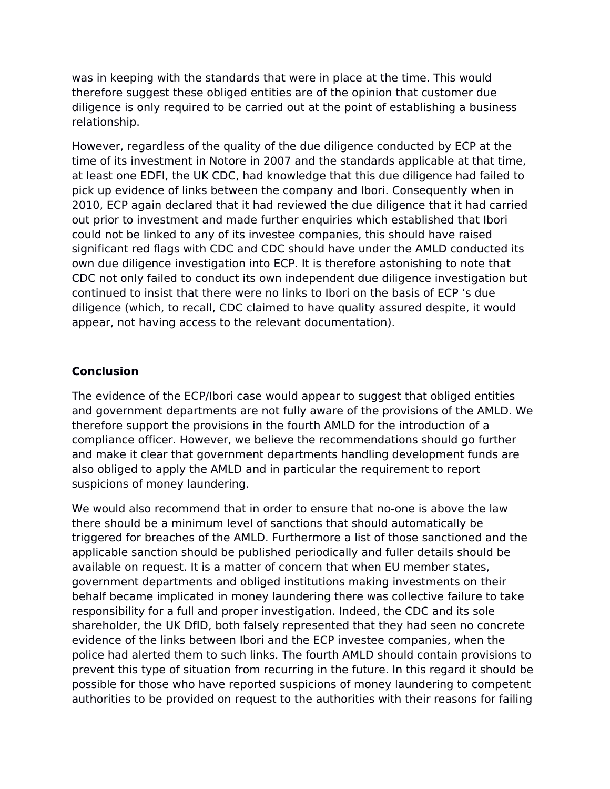was in keeping with the standards that were in place at the time. This would therefore suggest these obliged entities are of the opinion that customer due diligence is only required to be carried out at the point of establishing a business relationship.

However, regardless of the quality of the due diligence conducted by ECP at the time of its investment in Notore in 2007 and the standards applicable at that time, at least one EDFI, the UK CDC, had knowledge that this due diligence had failed to pick up evidence of links between the company and Ibori. Consequently when in 2010, ECP again declared that it had reviewed the due diligence that it had carried out prior to investment and made further enquiries which established that Ibori could not be linked to any of its investee companies, this should have raised significant red flags with CDC and CDC should have under the AMLD conducted its own due diligence investigation into ECP. It is therefore astonishing to note that CDC not only failed to conduct its own independent due diligence investigation but continued to insist that there were no links to Ibori on the basis of ECP 's due diligence (which, to recall, CDC claimed to have quality assured despite, it would appear, not having access to the relevant documentation).

## **Conclusion**

The evidence of the ECP/Ibori case would appear to suggest that obliged entities and government departments are not fully aware of the provisions of the AMLD. We therefore support the provisions in the fourth AMLD for the introduction of a compliance officer. However, we believe the recommendations should go further and make it clear that government departments handling development funds are also obliged to apply the AMLD and in particular the requirement to report suspicions of money laundering.

We would also recommend that in order to ensure that no-one is above the law there should be a minimum level of sanctions that should automatically be triggered for breaches of the AMLD. Furthermore a list of those sanctioned and the applicable sanction should be published periodically and fuller details should be available on request. It is a matter of concern that when EU member states, government departments and obliged institutions making investments on their behalf became implicated in money laundering there was collective failure to take responsibility for a full and proper investigation. Indeed, the CDC and its sole shareholder, the UK DfID, both falsely represented that they had seen no concrete evidence of the links between Ibori and the ECP investee companies, when the police had alerted them to such links. The fourth AMLD should contain provisions to prevent this type of situation from recurring in the future. In this regard it should be possible for those who have reported suspicions of money laundering to competent authorities to be provided on request to the authorities with their reasons for failing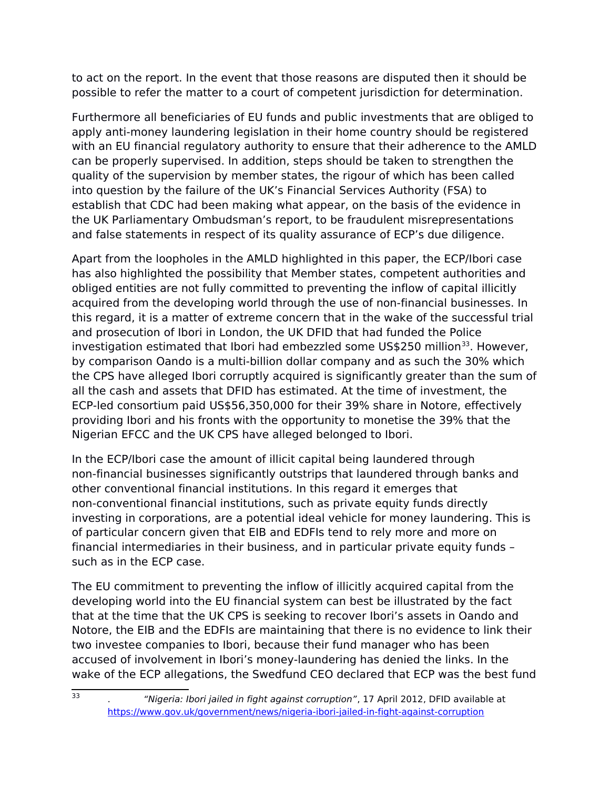to act on the report. In the event that those reasons are disputed then it should be possible to refer the matter to a court of competent jurisdiction for determination.

Furthermore all beneficiaries of EU funds and public investments that are obliged to apply anti-money laundering legislation in their home country should be registered with an EU financial regulatory authority to ensure that their adherence to the AMLD can be properly supervised. In addition, steps should be taken to strengthen the quality of the supervision by member states, the rigour of which has been called into question by the failure of the UK's Financial Services Authority (FSA) to establish that CDC had been making what appear, on the basis of the evidence in the UK Parliamentary Ombudsman's report, to be fraudulent misrepresentations and false statements in respect of its quality assurance of ECP's due diligence.

Apart from the loopholes in the AMLD highlighted in this paper, the ECP/Ibori case has also highlighted the possibility that Member states, competent authorities and obliged entities are not fully committed to preventing the inflow of capital illicitly acquired from the developing world through the use of non-financial businesses. In this regard, it is a matter of extreme concern that in the wake of the successful trial and prosecution of Ibori in London, the UK DFID that had funded the Police investigation estimated that Ibori had embezzled some US\$250 million $^{33}$  $^{33}$  $^{33}$ . However, by comparison Oando is a multi-billion dollar company and as such the 30% which the CPS have alleged Ibori corruptly acquired is significantly greater than the sum of all the cash and assets that DFID has estimated. At the time of investment, the ECP-led consortium paid US\$56,350,000 for their 39% share in Notore, effectively providing Ibori and his fronts with the opportunity to monetise the 39% that the Nigerian EFCC and the UK CPS have alleged belonged to Ibori.

In the ECP/Ibori case the amount of illicit capital being laundered through non-financial businesses significantly outstrips that laundered through banks and other conventional financial institutions. In this regard it emerges that non-conventional financial institutions, such as private equity funds directly investing in corporations, are a potential ideal vehicle for money laundering. This is of particular concern given that EIB and EDFIs tend to rely more and more on financial intermediaries in their business, and in particular private equity funds – such as in the ECP case.

The EU commitment to preventing the inflow of illicitly acquired capital from the developing world into the EU financial system can best be illustrated by the fact that at the time that the UK CPS is seeking to recover Ibori's assets in Oando and Notore, the EIB and the EDFIs are maintaining that there is no evidence to link their two investee companies to Ibori, because their fund manager who has been accused of involvement in Ibori's money-laundering has denied the links. In the wake of the ECP allegations, the Swedfund CEO declared that ECP was the best fund

 $\overline{33}$ 

<span id="page-19-0"></span><sup>&</sup>quot;Nigeria: Ibori jailed in fight against corruption", 17 April 2012, DFID available at <https://www.gov.uk/government/news/nigeria-ibori-jailed-in-fight-against-corruption>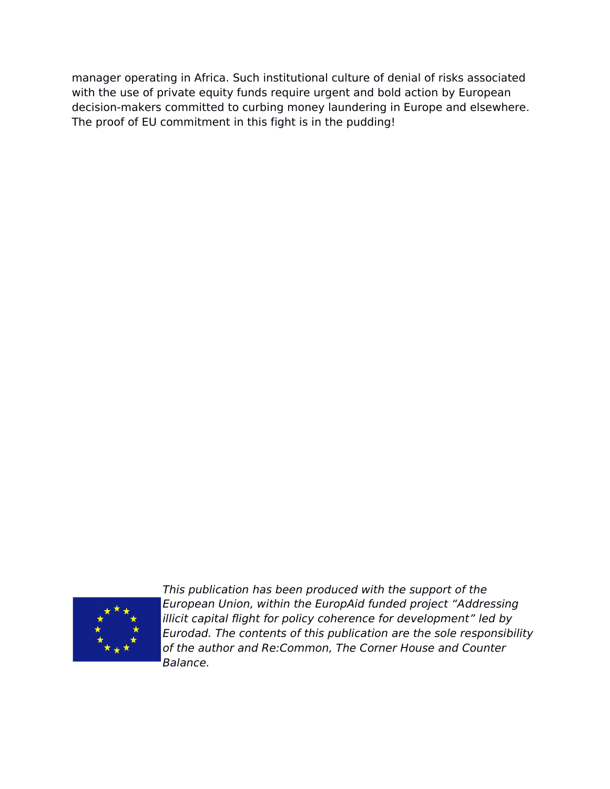manager operating in Africa. Such institutional culture of denial of risks associated with the use of private equity funds require urgent and bold action by European decision-makers committed to curbing money laundering in Europe and elsewhere. The proof of EU commitment in this fight is in the pudding!



This publication has been produced with the support of the European Union, within the EuropAid funded project "Addressing illicit capital flight for policy coherence for development" led by Eurodad. The contents of this publication are the sole responsibility of the author and Re:Common, The Corner House and Counter Balance.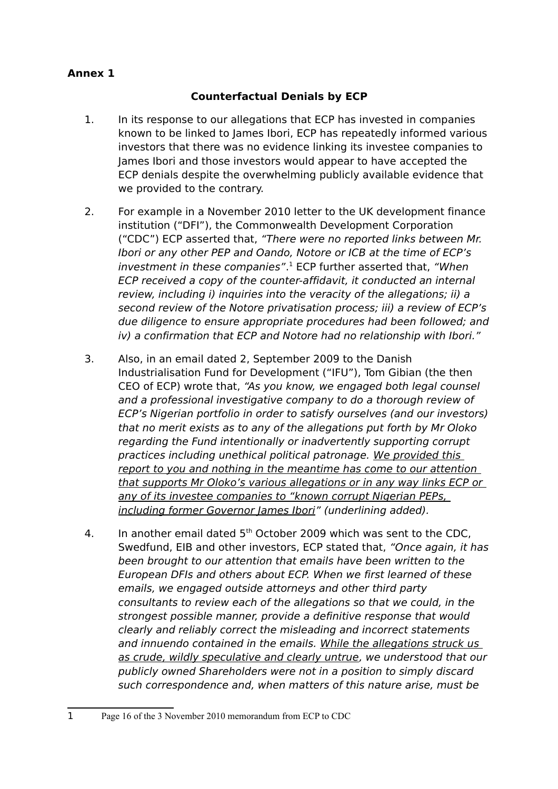# **Annex 1**

# **Counterfactual Denials by ECP**

- 1. In its response to our allegations that ECP has invested in companies known to be linked to James Ibori, ECP has repeatedly informed various investors that there was no evidence linking its investee companies to James Ibori and those investors would appear to have accepted the ECP denials despite the overwhelming publicly available evidence that we provided to the contrary.
- 2. For example in a November 2010 letter to the UK development finance institution ("DFI"), the Commonwealth Development Corporation ("CDC") ECP asserted that, "There were no reported links between Mr. Ibori or any other PEP and Oando, Notore or ICB at the time of ECP's investment in these companies".<sup>[1](#page-21-0)</sup> ECP further asserted that, "When ECP received a copy of the counter-affidavit, it conducted an internal review, including i) inquiries into the veracity of the allegations; ii) a second review of the Notore privatisation process; iii) a review of ECP's due diligence to ensure appropriate procedures had been followed; and iv) a confirmation that ECP and Notore had no relationship with Ibori."
- 3. Also, in an email dated 2, September 2009 to the Danish Industrialisation Fund for Development ("IFU"), Tom Gibian (the then CEO of ECP) wrote that, "As you know, we engaged both legal counsel and a professional investigative company to do a thorough review of ECP's Nigerian portfolio in order to satisfy ourselves (and our investors) that no merit exists as to any of the allegations put forth by Mr Oloko regarding the Fund intentionally or inadvertently supporting corrupt practices including unethical political patronage. We provided this report to you and nothing in the meantime has come to our attention that supports Mr Oloko's various allegations or in any way links ECP or any of its investee companies to "known corrupt Nigerian PEPs, including former Governor James Ibori" (underlining added).
- 4. In another email dated  $5<sup>th</sup>$  October 2009 which was sent to the CDC. Swedfund, EIB and other investors, ECP stated that, "Once again, it has been brought to our attention that emails have been written to the European DFIs and others about ECP. When we first learned of these emails, we engaged outside attorneys and other third party consultants to review each of the allegations so that we could, in the strongest possible manner, provide a definitive response that would clearly and reliably correct the misleading and incorrect statements and innuendo contained in the emails. While the allegations struck us as crude, wildly speculative and clearly untrue, we understood that our publicly owned Shareholders were not in a position to simply discard such correspondence and, when matters of this nature arise, must be

<span id="page-21-0"></span><sup>1</sup> Page 16 of the 3 November 2010 memorandum from ECP to CDC